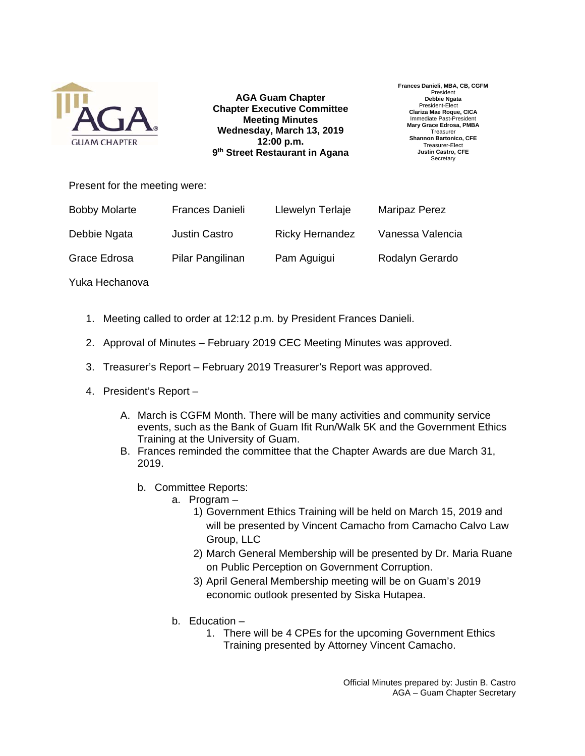

**AGA Guam Chapter Chapter Executive Committee Meeting Minutes Wednesday, March 13, 2019 12:00 p.m. 9th Street Restaurant in Agana** **Frances Danieli, MBA, CB, CGFM**  Presiden **Debbie Ngata**  President-Elect **Clariza Mae Roque, CICA**  Immediate Past-President **Mary Grace Edrosa, PMBA Treasurer Shannon Bartonico, CFE**  Treasurer-Elect **Justin Castro, CFE Secretary** 

Present for the meeting were:

| <b>Bobby Molarte</b> | <b>Frances Danieli</b> | Llewelyn Terlaje       | <b>Maripaz Perez</b> |
|----------------------|------------------------|------------------------|----------------------|
| Debbie Ngata         | <b>Justin Castro</b>   | <b>Ricky Hernandez</b> | Vanessa Valencia     |
| Grace Edrosa         | Pilar Pangilinan       | Pam Aguigui            | Rodalyn Gerardo      |

Yuka Hechanova

- 1. Meeting called to order at 12:12 p.m. by President Frances Danieli.
- 2. Approval of Minutes February 2019 CEC Meeting Minutes was approved.
- 3. Treasurer's Report February 2019 Treasurer's Report was approved.
- 4. President's Report
	- A. March is CGFM Month. There will be many activities and community service events, such as the Bank of Guam Ifit Run/Walk 5K and the Government Ethics Training at the University of Guam.
	- B. Frances reminded the committee that the Chapter Awards are due March 31, 2019.
		- b. Committee Reports:
			- a. Program
				- 1) Government Ethics Training will be held on March 15, 2019 and will be presented by Vincent Camacho from Camacho Calvo Law Group, LLC
				- 2) March General Membership will be presented by Dr. Maria Ruane on Public Perception on Government Corruption.
				- 3) April General Membership meeting will be on Guam's 2019 economic outlook presented by Siska Hutapea.
			- b. Education
				- 1. There will be 4 CPEs for the upcoming Government Ethics Training presented by Attorney Vincent Camacho.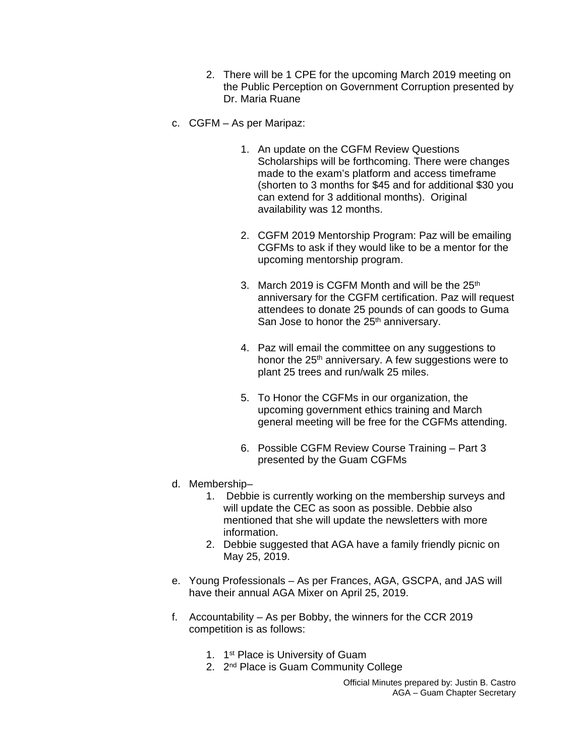- 2. There will be 1 CPE for the upcoming March 2019 meeting on the Public Perception on Government Corruption presented by Dr. Maria Ruane
- c. CGFM As per Maripaz:
	- 1. An update on the CGFM Review Questions Scholarships will be forthcoming. There were changes made to the exam's platform and access timeframe (shorten to 3 months for \$45 and for additional \$30 you can extend for 3 additional months). Original availability was 12 months.
	- 2. CGFM 2019 Mentorship Program: Paz will be emailing CGFMs to ask if they would like to be a mentor for the upcoming mentorship program.
	- 3. March 2019 is CGFM Month and will be the  $25<sup>th</sup>$ anniversary for the CGFM certification. Paz will request attendees to donate 25 pounds of can goods to Guma San Jose to honor the 25<sup>th</sup> anniversary.
	- 4. Paz will email the committee on any suggestions to honor the 25<sup>th</sup> anniversary. A few suggestions were to plant 25 trees and run/walk 25 miles.
	- 5. To Honor the CGFMs in our organization, the upcoming government ethics training and March general meeting will be free for the CGFMs attending.
	- 6. Possible CGFM Review Course Training Part 3 presented by the Guam CGFMs
- d. Membership–
	- 1. Debbie is currently working on the membership surveys and will update the CEC as soon as possible. Debbie also mentioned that she will update the newsletters with more information.
	- 2. Debbie suggested that AGA have a family friendly picnic on May 25, 2019.
- e. Young Professionals As per Frances, AGA, GSCPA, and JAS will have their annual AGA Mixer on April 25, 2019.
- f. Accountability As per Bobby, the winners for the CCR 2019 competition is as follows:
	- 1. 1<sup>st</sup> Place is University of Guam
	- 2. 2<sup>nd</sup> Place is Guam Community College